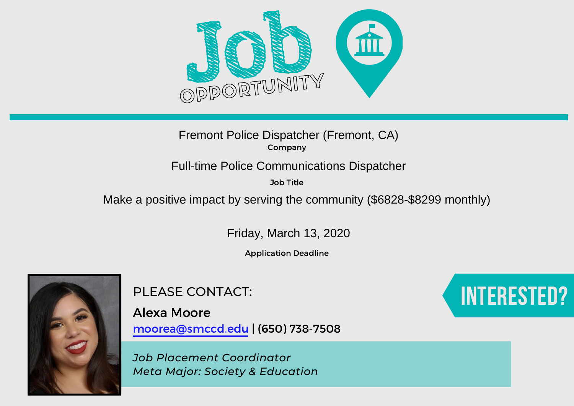

# Company Fremont Police Dispatcher (Fremont, CA)<br>
Company<br>
Full-time Police Communications Dispatcher<br>
Job Title<br>
Make a positive impact by serving the community (\$6828-\$8299 monthly)

Job Title

Friday, March 13, 2020

Application Deadline



PLEASE CONTACT:

Alexa Moore moorea@smccd.edu | (650) 738-7508

*Job Placement Coordinator Meta Major: Society & Education*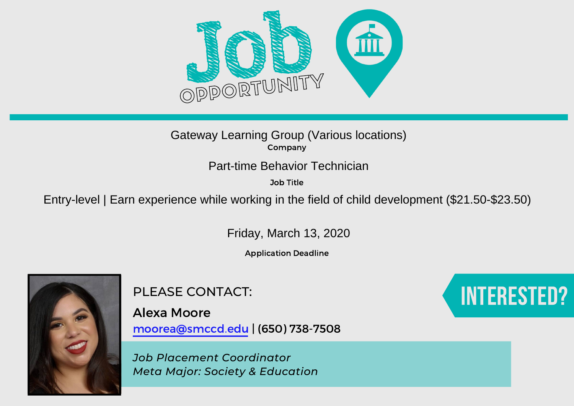

Job Title

Gateway Learning Group (Various locations)<br>
Entry-level | Earn experience while working in the field of child development (\$21.50-\$23.50)<br>
Part-time Behavior Technician<br>
Fitty-level | Earn experience while working in the f

Friday, March 13, 2020

Application Deadline



PLEASE CONTACT:

Alexa Moore moorea@smccd.edu | (650) 738-7508

*Job Placement Coordinator Meta Major: Society & Education*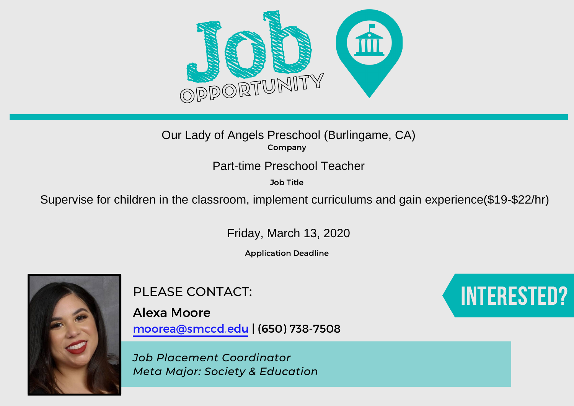

Job Title

Our Lady of Angels Preschool (Burlingame, CA)<br>
Supervise for children in the classroom, implement curriculums and gain experience(\$19-\$22/hr)<br>
Part-time Preschool Teacher<br>
Supervise for children in the classroom, implement

Friday, March 13, 2020

Application Deadline



PLEASE CONTACT:

Alexa Moore moorea@smccd.edu | (650) 738-7508

*Job Placement Coordinator Meta Major: Society & Education*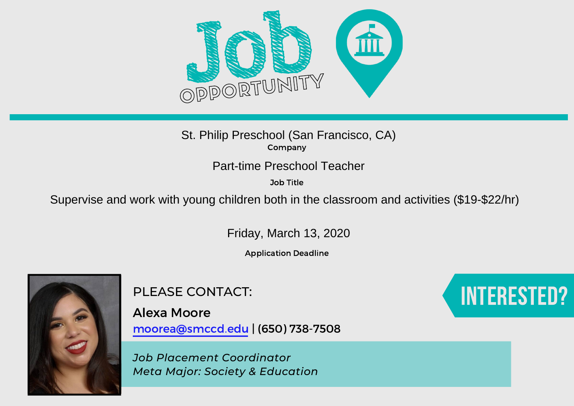

Job Title

St. Philip Preschool (San Francisco, CA)<br>
Company<br>
Part-time Preschool Teacher<br>
30b Title<br>
Supervise and work with young children both in the classroom and activities (\$19-\$22/hr)

Friday, March 13, 2020

Application Deadline



PLEASE CONTACT:

Alexa Moore moorea@smccd.edu | (650) 738-7508

*Job Placement Coordinator Meta Major: Society & Education*